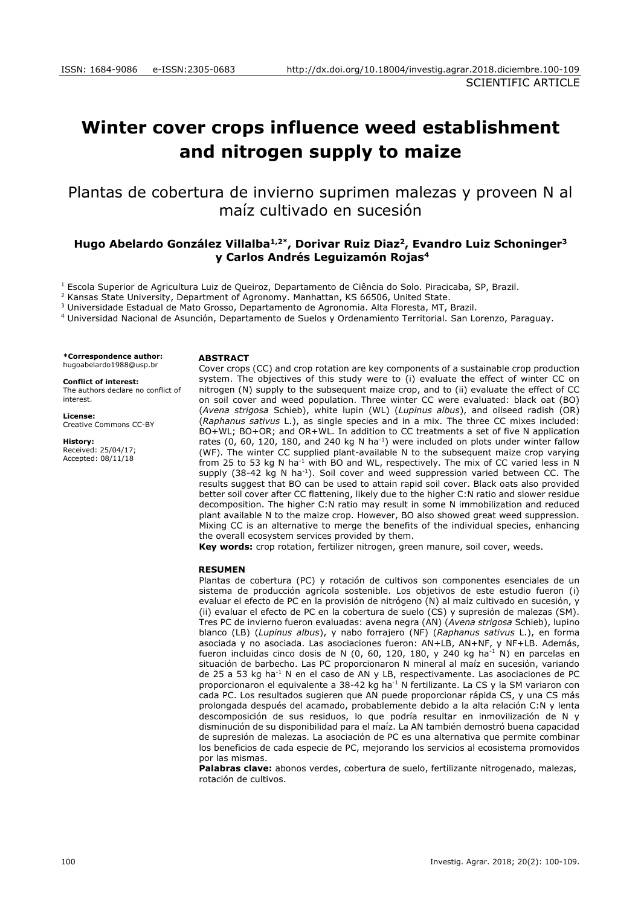# **Winter cover crops influence weed establishment and nitrogen supply to maize**

Plantas de cobertura de invierno suprimen malezas y proveen N al maíz cultivado en sucesión

# **Hugo Abelardo González Villalba1,2\* , Dorivar Ruiz Diaz<sup>2</sup> , Evandro Luiz Schoninger<sup>3</sup> y Carlos Andrés Leguizamón Rojas<sup>4</sup>**

<sup>1</sup> Escola Superior de Agricultura Luiz de Queiroz, Departamento de Ciência do Solo. Piracicaba, SP, Brazil.

<sup>2</sup> Kansas State University, Department of Agronomy. Manhattan, KS 66506, United State.

<sup>3</sup> Universidade Estadual de Mato Grosso, Departamento de Agronomia. Alta Floresta, MT, Brazil.

<sup>4</sup> Universidad Nacional de Asunción, Departamento de Suelos y Ordenamiento Territorial. San Lorenzo, Paraguay.

**\*Correspondence author:** hugoabelardo1988@usp.br

#### **Conflict of interest:**

The authors declare no conflict of interest.

**License:** [Creative Commons CC-BY](https://creativecommons.org/licenses/by/4.0/)

**History:** Received: 25/04/17; Accepted: 08/11/18

### **ABSTRACT**

Cover crops (CC) and crop rotation are key components of a sustainable crop production system. The objectives of this study were to (i) evaluate the effect of winter CC on nitrogen (N) supply to the subsequent maize crop, and to (ii) evaluate the effect of CC on soil cover and weed population. Three winter CC were evaluated: black oat (BO) (*Avena strigosa* Schieb), white lupin (WL) (*Lupinus albus*), and oilseed radish (OR) (*Raphanus sativus* L.), as single species and in a mix. The three CC mixes included: BO+WL; BO+OR; and OR+WL. In addition to CC treatments a set of five N application rates  $(0, 60, 120, 180,$  and 240 kg N ha<sup>-1</sup>) were included on plots under winter fallow (WF). The winter CC supplied plant-available N to the subsequent maize crop varying from 25 to 53 kg N ha<sup>-1</sup> with BO and WL, respectively. The mix of CC varied less in N supply  $(38-42 \text{ kg N} \text{ ha}^{-1})$ . Soil cover and weed suppression varied between CC. The results suggest that BO can be used to attain rapid soil cover. Black oats also provided better soil cover after CC flattening, likely due to the higher C:N ratio and slower residue decomposition. The higher C:N ratio may result in some N immobilization and reduced plant available N to the maize crop. However, BO also showed great weed suppression. Mixing CC is an alternative to merge the benefits of the individual species, enhancing the overall ecosystem services provided by them.

**Key words:** crop rotation, fertilizer nitrogen, green manure, soil cover, weeds.

#### **RESUMEN**

Plantas de cobertura (PC) y rotación de cultivos son componentes esenciales de un sistema de producción agrícola sostenible. Los objetivos de este estudio fueron (i) evaluar el efecto de PC en la provisión de nitrógeno (N) al maíz cultivado en sucesión, y (ii) evaluar el efecto de PC en la cobertura de suelo (CS) y supresión de malezas (SM). Tres PC de invierno fueron evaluadas: avena negra (AN) (*Avena strigosa* Schieb), lupino blanco (LB) (*Lupinus albus*), y nabo forrajero (NF) (*Raphanus sativus* L.), en forma asociada y no asociada. Las asociaciones fueron: AN+LB, AN+NF, y NF+LB. Además, fueron incluidas cinco dosis de N (0, 60, 120, 180, y 240 kg ha<sup>-1</sup> N) en parcelas en situación de barbecho. Las PC proporcionaron N mineral al maíz en sucesión, variando de 25 a 53 kg ha-1 N en el caso de AN y LB, respectivamente. Las asociaciones de PC proporcionaron el equivalente a 38-42 kg ha<sup>-1</sup> N fertilizante. La CS y la SM variaron con cada PC. Los resultados sugieren que AN puede proporcionar rápida CS, y una CS más prolongada después del acamado, probablemente debido a la alta relación C:N y lenta descomposición de sus residuos, lo que podría resultar en inmovilización de N y disminución de su disponibilidad para el maíz. La AN también demostró buena capacidad de supresión de malezas. La asociación de PC es una alternativa que permite combinar los beneficios de cada especie de PC, mejorando los servicios al ecosistema promovidos por las mismas.

**Palabras clave:** abonos verdes, cobertura de suelo, fertilizante nitrogenado, malezas, rotación de cultivos.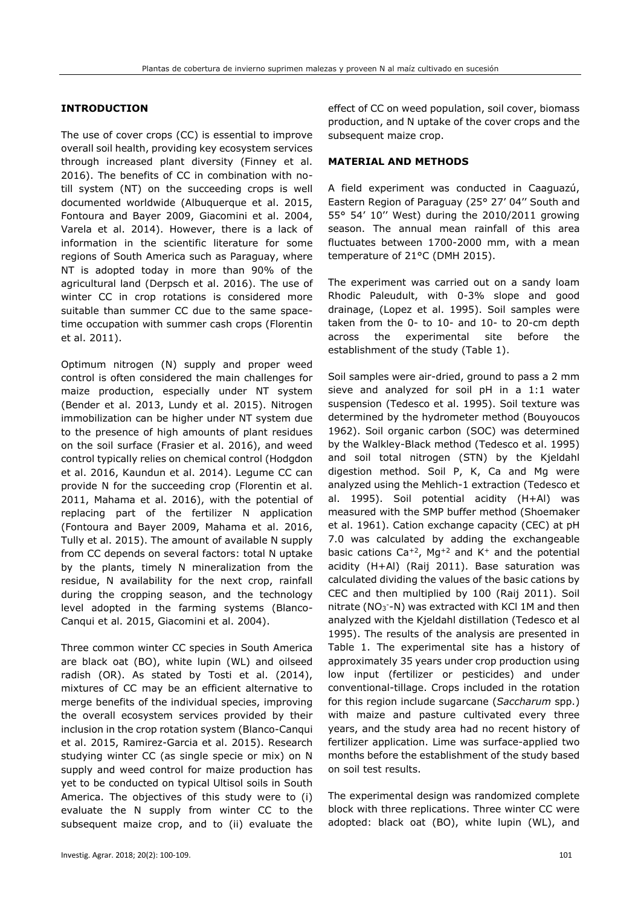# **INTRODUCTION**

The use of cover crops (CC) is essential to improve overall soil health, providing key ecosystem services through increased plant diversity (Finney et al. 2016). The benefits of CC in combination with notill system (NT) on the succeeding crops is well documented worldwide (Albuquerque et al. 2015, Fontoura and Bayer 2009, Giacomini et al. 2004, Varela et al. 2014). However, there is a lack of information in the scientific literature for some regions of South America such as Paraguay, where NT is adopted today in more than 90% of the agricultural land (Derpsch et al. 2016). The use of winter CC in crop rotations is considered more suitable than summer CC due to the same spacetime occupation with summer cash crops (Florentin et al. 2011).

Optimum nitrogen (N) supply and proper weed control is often considered the main challenges for maize production, especially under NT system (Bender et al. 2013, Lundy et al. 2015). Nitrogen immobilization can be higher under NT system due to the presence of high amounts of plant residues on the soil surface (Frasier et al. 2016), and weed control typically relies on chemical control (Hodgdon et al. 2016, Kaundun et al. 2014). Legume CC can provide N for the succeeding crop (Florentin et al. 2011, Mahama et al. 2016), with the potential of replacing part of the fertilizer N application (Fontoura and Bayer 2009, Mahama et al. 2016, Tully et al. 2015). The amount of available N supply from CC depends on several factors: total N uptake by the plants, timely N mineralization from the residue, N availability for the next crop, rainfall during the cropping season, and the technology level adopted in the farming systems (Blanco-Canqui et al. 2015, Giacomini et al. 2004).

Three common winter CC species in South America are black oat (BO), white lupin (WL) and oilseed radish (OR). As stated by Tosti et al. (2014), mixtures of CC may be an efficient alternative to merge benefits of the individual species, improving the overall ecosystem services provided by their inclusion in the crop rotation system (Blanco-Canqui et al. 2015, Ramirez-Garcia et al. 2015). Research studying winter CC (as single specie or mix) on N supply and weed control for maize production has yet to be conducted on typical Ultisol soils in South America. The objectives of this study were to (i) evaluate the N supply from winter CC to the subsequent maize crop, and to (ii) evaluate the

## **MATERIAL AND METHODS**

A field experiment was conducted in Caaguazú, Eastern Region of Paraguay (25° 27' 04'' South and 55° 54' 10'' West) during the 2010/2011 growing season. The annual mean rainfall of this area fluctuates between 1700-2000 mm, with a mean temperature of 21°C (DMH 2015).

The experiment was carried out on a sandy loam Rhodic Paleudult, with 0-3% slope and good drainage, (Lopez et al. 1995). Soil samples were taken from the 0- to 10- and 10- to 20-cm depth across the experimental site before the establishment of the study (Table 1).

Soil samples were air-dried, ground to pass a 2 mm sieve and analyzed for soil pH in a 1:1 water suspension (Tedesco et al. 1995). Soil texture was determined by the hydrometer method (Bouyoucos 1962). Soil organic carbon (SOC) was determined by the Walkley-Black method (Tedesco et al. 1995) and soil total nitrogen (STN) by the Kjeldahl digestion method. Soil P, K, Ca and Mg were analyzed using the Mehlich-1 extraction (Tedesco et al. 1995). Soil potential acidity (H+Al) was measured with the SMP buffer method (Shoemaker et al. 1961). Cation exchange capacity (CEC) at pH 7.0 was calculated by adding the exchangeable basic cations  $Ca^{+2}$ , Ma<sup>+2</sup> and K<sup>+</sup> and the potential acidity (H+Al) (Raij 2011). Base saturation was calculated dividing the values of the basic cations by CEC and then multiplied by 100 (Raij 2011). Soil nitrate (NO<sub>3</sub>-N) was extracted with KCl 1M and then analyzed with the Kjeldahl distillation (Tedesco et al 1995). The results of the analysis are presented in Table 1. The experimental site has a history of approximately 35 years under crop production using low input (fertilizer or pesticides) and under conventional-tillage. Crops included in the rotation for this region include sugarcane (*Saccharum* spp.) with maize and pasture cultivated every three years, and the study area had no recent history of fertilizer application. Lime was surface-applied two months before the establishment of the study based on soil test results.

The experimental design was randomized complete block with three replications. Three winter CC were adopted: black oat (BO), white lupin (WL), and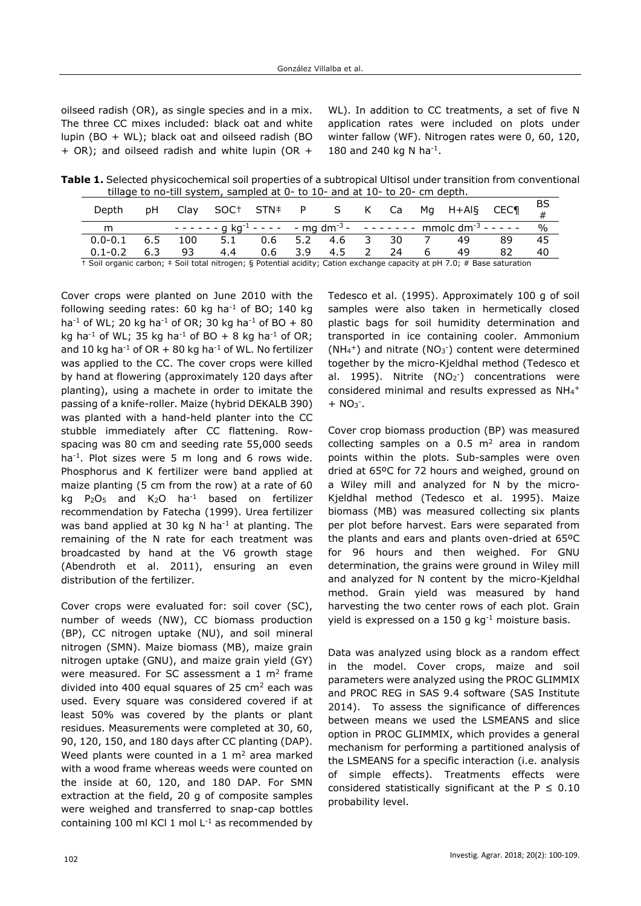oilseed radish (OR), as single species and in a mix. The three CC mixes included: black oat and white lupin (BO + WL); black oat and oilseed radish (BO + OR); and oilseed radish and white lupin (OR + WL). In addition to CC treatments, a set of five N application rates were included on plots under winter fallow (WF). Nitrogen rates were 0, 60, 120, 180 and 240 kg N ha<sup>-1</sup>.

**Table 1.** Selected physicochemical soil properties of a subtropical Ultisol under transition from conventional tillage to no-till system, sampled at 0- to 10- and at 10- to 20- cm depth.

| Depth                                                                                                                    | pН  | Clav |     |     |     |       |               |      | SOC† STN‡ P S K Ca Mg H+Al§ CEC¶                                                                                      |    | BS           |
|--------------------------------------------------------------------------------------------------------------------------|-----|------|-----|-----|-----|-------|---------------|------|-----------------------------------------------------------------------------------------------------------------------|----|--------------|
| m                                                                                                                        |     |      |     |     |     |       |               |      | $-$ - - - - - g kg <sup>-1</sup> - - - - - - mg dm <sup>-3</sup> - - - - - - - - - - mmolc dm <sup>-3</sup> - - - - - |    | $O_{\Omega}$ |
| $0.0 - 0.1$                                                                                                              | 6.5 | 100  | 5.1 | 0.6 | 5.2 | 4.6 3 |               | - 30 | 49                                                                                                                    |    | 45           |
| $0.1 - 0.2$                                                                                                              | 6.3 | 93   | 4.4 | 0.6 | 3.9 | 4.5   | $\mathcal{P}$ | 24   | 49                                                                                                                    | 82 | 40           |
| + Soil organic carbon; # Soil total nitrogen; § Potential acidity; Cation exchange capacity at pH 7.0; # Base saturation |     |      |     |     |     |       |               |      |                                                                                                                       |    |              |

Cover crops were planted on June 2010 with the following seeding rates:  $60$  kg ha<sup>-1</sup> of BO; 140 kg ha<sup>-1</sup> of WL; 20 kg ha<sup>-1</sup> of OR; 30 kg ha<sup>-1</sup> of BO + 80 kg ha<sup>-1</sup> of WL; 35 kg ha<sup>-1</sup> of BO + 8 kg ha<sup>-1</sup> of OR; and 10 kg ha<sup>-1</sup> of OR  $+$  80 kg ha<sup>-1</sup> of WL. No fertilizer was applied to the CC. The cover crops were killed by hand at flowering (approximately 120 days after planting), using a machete in order to imitate the passing of a knife-roller. Maize (hybrid DEKALB 390) was planted with a hand-held planter into the CC stubble immediately after CC flattening. Rowspacing was 80 cm and seeding rate 55,000 seeds ha<sup>-1</sup>. Plot sizes were 5 m long and 6 rows wide. Phosphorus and K fertilizer were band applied at maize planting (5 cm from the row) at a rate of 60 kg  $P_2O_5$  and  $K_2O$  ha<sup>-1</sup> based on fertilizer recommendation by Fatecha (1999). Urea fertilizer was band applied at 30 kg N ha<sup>-1</sup> at planting. The remaining of the N rate for each treatment was broadcasted by hand at the V6 growth stage (Abendroth et al. 2011), ensuring an even distribution of the fertilizer.

Cover crops were evaluated for: soil cover (SC), number of weeds (NW), CC biomass production (BP), CC nitrogen uptake (NU), and soil mineral nitrogen (SMN). Maize biomass (MB), maize grain nitrogen uptake (GNU), and maize grain yield (GY) were measured. For SC assessment a 1  $m<sup>2</sup>$  frame divided into 400 equal squares of 25  $\text{cm}^2$  each was used. Every square was considered covered if at least 50% was covered by the plants or plant residues. Measurements were completed at 30, 60, 90, 120, 150, and 180 days after CC planting (DAP). Weed plants were counted in a 1  $m<sup>2</sup>$  area marked with a wood frame whereas weeds were counted on the inside at 60, 120, and 180 DAP. For SMN extraction at the field, 20 g of composite samples were weighed and transferred to snap-cap bottles containing 100 ml KCl 1 mol  $L^{-1}$  as recommended by

Tedesco et al. (1995). Approximately 100 g of soil samples were also taken in hermetically closed plastic bags for soil humidity determination and transported in ice containing cooler. Ammonium (NH<sub>4</sub><sup>+</sup>) and nitrate (NO<sub>3</sub><sup>-</sup>) content were determined together by the micro-Kjeldhal method (Tedesco et al. 1995). Nitrite (NO<sub>2</sub><sup>-</sup>) concentrations were considered minimal and results expressed as NH<sub>4</sub>+  $+ NO3$ .

Cover crop biomass production (BP) was measured collecting samples on a  $0.5 \text{ m}^2$  area in random points within the plots. Sub-samples were oven dried at 65ºC for 72 hours and weighed, ground on a Wiley mill and analyzed for N by the micro-Kjeldhal method (Tedesco et al. 1995). Maize biomass (MB) was measured collecting six plants per plot before harvest. Ears were separated from the plants and ears and plants oven-dried at 65ºC for 96 hours and then weighed. For GNU determination, the grains were ground in Wiley mill and analyzed for N content by the micro-Kjeldhal method. Grain yield was measured by hand harvesting the two center rows of each plot. Grain yield is expressed on a 150 g kg-1 moisture basis.

Data was analyzed using block as a random effect in the model. Cover crops, maize and soil parameters were analyzed using the PROC GLIMMIX and PROC REG in SAS 9.4 software (SAS Institute 2014). To assess the significance of differences between means we used the LSMEANS and slice option in PROC GLIMMIX, which provides a general mechanism for performing a partitioned analysis of the LSMEANS for a specific interaction (i.e. analysis of simple effects). Treatments effects were considered statistically significant at the  $P \le 0.10$ probability level.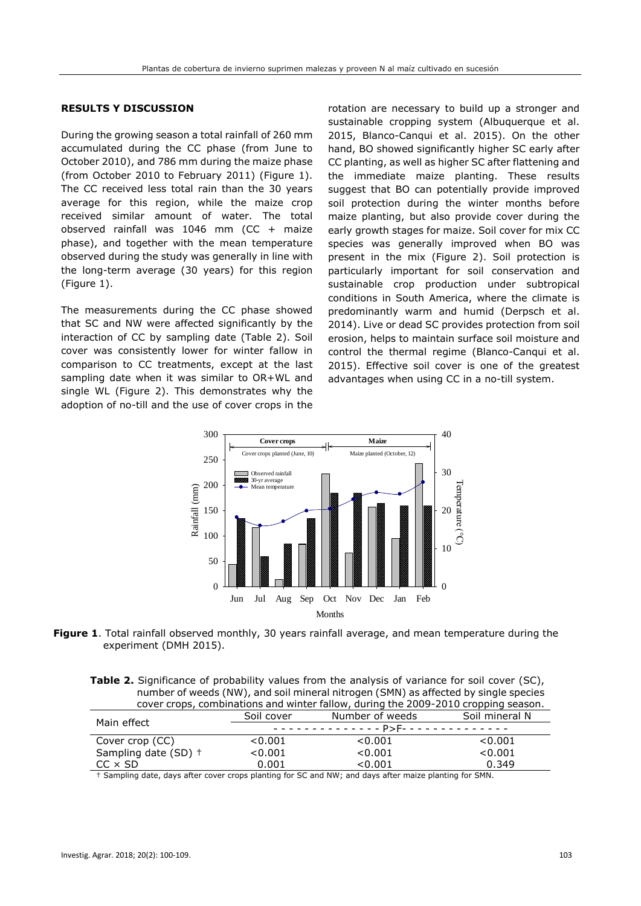## **RESULTS Y DISCUSSION**

During the growing season a total rainfall of 260 mm accumulated during the CC phase (from June to October 2010), and 786 mm during the maize phase (from October 2010 to February 2011) (Figure 1). The CC received less total rain than the 30 years average for this region, while the maize crop received similar amount of water. The total observed rainfall was 1046 mm (CC + maize phase), and together with the mean temperature observed during the study was generally in line with the long-term average (30 years) for this region (Figure 1).

The measurements during the CC phase showed that SC and NW were affected significantly by the interaction of CC by sampling date (Table 2). Soil cover was consistently lower for winter fallow in comparison to CC treatments, except at the last sampling date when it was similar to OR+WL and single WL (Figure 2). This demonstrates why the adoption of no-till and the use of cover crops in the

rotation are necessary to build up a stronger and sustainable cropping system (Albuquerque et al. 2015, Blanco-Canqui et al. 2015). On the other hand, BO showed significantly higher SC early after CC planting, as well as higher SC after flattening and the immediate maize planting. These results suggest that BO can potentially provide improved soil protection during the winter months before maize planting, but also provide cover during the early growth stages for maize. Soil cover for mix CC species was generally improved when BO was present in the mix (Figure 2). Soil protection is particularly important for soil conservation and sustainable crop production under subtropical conditions in South America, where the climate is predominantly warm and humid (Derpsch et al. 2014). Live or dead SC provides protection from soil erosion, helps to maintain surface soil moisture and control the thermal regime (Blanco-Canqui et al. 2015). Effective soil cover is one of the greatest advantages when using CC in a no-till system.



**Figure 1**. Total rainfall observed monthly, 30 years rainfall average, and mean temperature during the experiment (DMH 2015).

**Table 2.** Significance of probability values from the analysis of variance for soil cover (SC), number of weeds (NW), and soil mineral nitrogen (SMN) as affected by single species cover crops, combinations and winter fallow, during the 2009-2010 cropping season.

| Main effect          | Soil cover                                                            | Number of weeds | Soil mineral N |  |  |  |  |
|----------------------|-----------------------------------------------------------------------|-----------------|----------------|--|--|--|--|
|                      | <u> - - - - - - - - - - - - - P&gt;F- - - - - - - - - - - - - - -</u> |                 |                |  |  |  |  |
| Cover crop (CC)      | < 0.001                                                               | < 0.001         | < 0.001        |  |  |  |  |
| Sampling date (SD) + | < 0.001                                                               | < 0.001         | < 0.001        |  |  |  |  |
| $CC \times SD$       | 0.001                                                                 | < 0.001         | 0.349          |  |  |  |  |
|                      |                                                                       |                 |                |  |  |  |  |

† Sampling date, days after cover crops planting for SC and NW; and days after maize planting for SMN.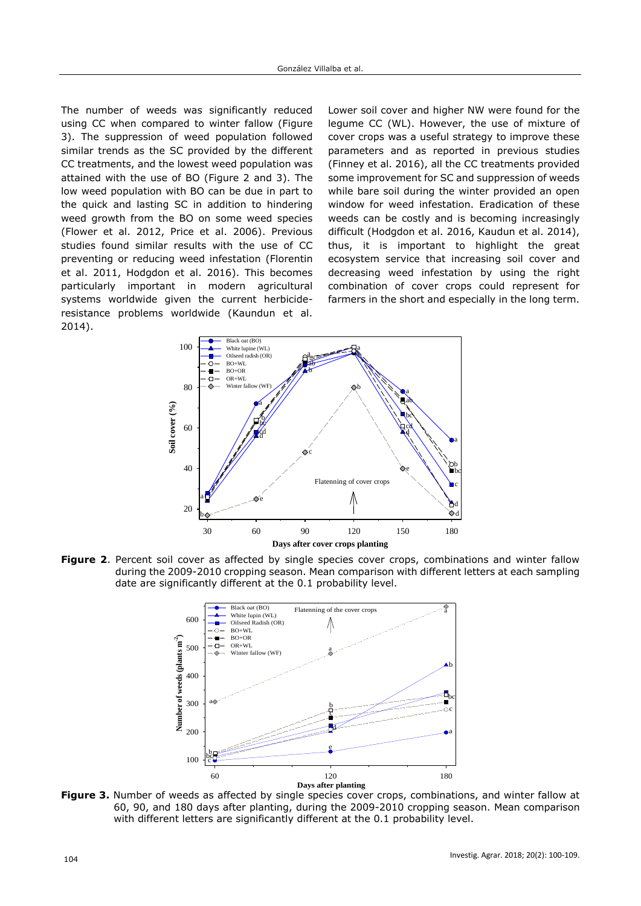The number of weeds was significantly reduced using CC when compared to winter fallow (Figure 3). The suppression of weed population followed similar trends as the SC provided by the different CC treatments, and the lowest weed population was attained with the use of BO (Figure 2 and 3). The low weed population with BO can be due in part to the quick and lasting SC in addition to hindering weed growth from the BO on some weed species (Flower et al. 2012, Price et al. 2006). Previous studies found similar results with the use of CC preventing or reducing weed infestation (Florentin et al. 2011, Hodgdon et al. 2016). This becomes particularly important in modern agricultural systems worldwide given the current herbicideresistance problems worldwide (Kaundun et al. 2014).

Lower soil cover and higher NW were found for the legume CC (WL). However, the use of mixture of cover crops was a useful strategy to improve these parameters and as reported in previous studies (Finney et al. 2016), all the CC treatments provided some improvement for SC and suppression of weeds while bare soil during the winter provided an open window for weed infestation. Eradication of these weeds can be costly and is becoming increasingly difficult (Hodgdon et al. 2016, Kaudun et al. 2014), thus, it is important to highlight the great ecosystem service that increasing soil cover and decreasing weed infestation by using the right combination of cover crops could represent for farmers in the short and especially in the long term.



**Figure 2**. Percent soil cover as affected by single species cover crops, combinations and winter fallow during the 2009-2010 cropping season. Mean comparison with different letters at each sampling date are significantly different at the 0.1 probability level.



**Figure 3.** Number of weeds as affected by single species cover crops, combinations, and winter fallow at 60, 90, and 180 days after planting, during the 2009-2010 cropping season. Mean comparison with different letters are significantly different at the 0.1 probability level.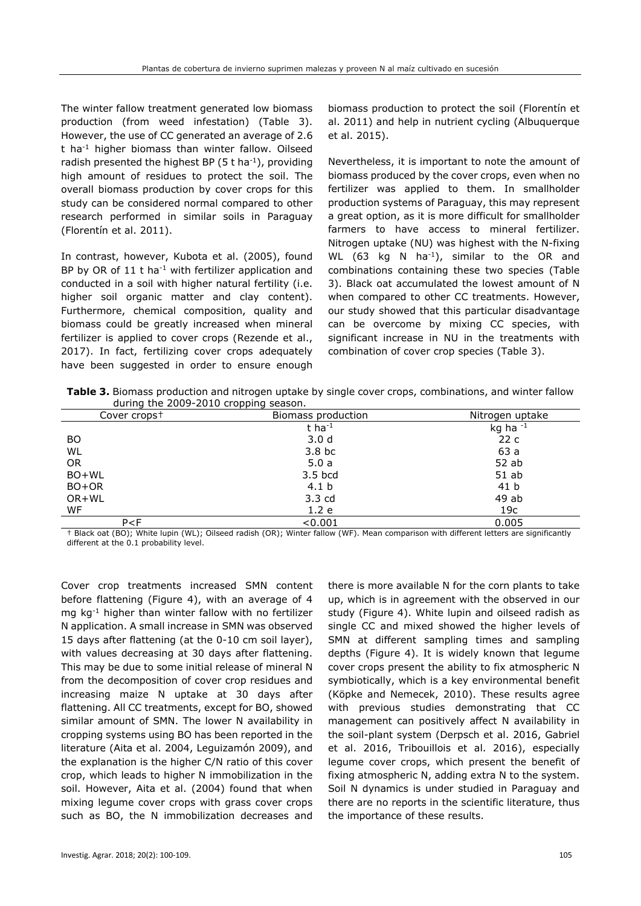The winter fallow treatment generated low biomass production (from weed infestation) (Table 3). However, the use of CC generated an average of 2.6 t ha-1 higher biomass than winter fallow. Oilseed radish presented the highest BP  $(5 t \text{ ha}^{-1})$ , providing high amount of residues to protect the soil. The overall biomass production by cover crops for this study can be considered normal compared to other research performed in similar soils in Paraguay (Florentín et al. 2011).

In contrast, however, Kubota et al. (2005), found BP by OR of 11 t ha<sup>-1</sup> with fertilizer application and conducted in a soil with higher natural fertility (i.e. higher soil organic matter and clay content). Furthermore, chemical composition, quality and biomass could be greatly increased when mineral fertilizer is applied to cover crops (Rezende et al., 2017). In fact, fertilizing cover crops adequately have been suggested in order to ensure enough biomass production to protect the soil (Florentín et al. 2011) and help in nutrient cycling (Albuquerque et al. 2015).

Nevertheless, it is important to note the amount of biomass produced by the cover crops, even when no fertilizer was applied to them. In smallholder production systems of Paraguay, this may represent a great option, as it is more difficult for smallholder farmers to have access to mineral fertilizer. Nitrogen uptake (NU) was highest with the N-fixing WL (63 kg N ha<sup>-1</sup>), similar to the OR and combinations containing these two species (Table 3). Black oat accumulated the lowest amount of N when compared to other CC treatments. However, our study showed that this particular disadvantage can be overcome by mixing CC species, with significant increase in NU in the treatments with combination of cover crop species (Table 3).

**Table 3.** Biomass production and nitrogen uptake by single cover crops, combinations, and winter fallow during the 2009-2010 cropping season.

| Cover crops <sup>+</sup> | Biomass production | Nitrogen uptake |  |  |
|--------------------------|--------------------|-----------------|--|--|
|                          | t ha $^{-1}$       | kg ha $^{-1}$   |  |  |
| BO.                      | 3.0 <sub>d</sub>   | 22c             |  |  |
| WL                       | 3.8 <sub>b</sub> c | 63 a            |  |  |
| 0R                       | 5.0a               | 52 ab           |  |  |
| BO+WL                    | 3.5 bcd            | $51$ ab         |  |  |
| BO+OR                    | 4.1 <sub>b</sub>   | 41 b            |  |  |
| OR+WL                    | $3.3 \text{ cd}$   | 49 ab           |  |  |
| WF                       | 1.2 e              | 19 <sub>c</sub> |  |  |
| P < F                    | < 0.001            | 0.005           |  |  |

† Black oat (BO); White lupin (WL); Oilseed radish (OR); Winter fallow (WF). Mean comparison with different letters are significantly different at the 0.1 probability level.

Cover crop treatments increased SMN content before flattening (Figure 4), with an average of 4 mg kg-1 higher than winter fallow with no fertilizer N application. A small increase in SMN was observed 15 days after flattening (at the 0-10 cm soil layer), with values decreasing at 30 days after flattening. This may be due to some initial release of mineral N from the decomposition of cover crop residues and increasing maize N uptake at 30 days after flattening. All CC treatments, except for BO, showed similar amount of SMN. The lower N availability in cropping systems using BO has been reported in the literature (Aita et al. 2004, Leguizamón 2009), and the explanation is the higher C/N ratio of this cover crop, which leads to higher N immobilization in the soil. However, Aita et al. (2004) found that when mixing legume cover crops with grass cover crops such as BO, the N immobilization decreases and

there is more available N for the corn plants to take up, which is in agreement with the observed in our study (Figure 4). White lupin and oilseed radish as single CC and mixed showed the higher levels of SMN at different sampling times and sampling depths (Figure 4). It is widely known that legume cover crops present the ability to fix atmospheric N symbiotically, which is a key environmental benefit [\(Köpke](https://www.sciencedirect.com/science/article/pii/S0378429009002792#!) and Nemecek, 2010). These results agree with previous studies demonstrating that CC management can positively affect N availability in the soil-plant system (Derpsch et al. 2016, Gabriel et al. 2016, Tribouillois et al. 2016), especially legume cover crops, which present the benefit of fixing atmospheric N, adding extra N to the system. Soil N dynamics is under studied in Paraguay and there are no reports in the scientific literature, thus the importance of these results.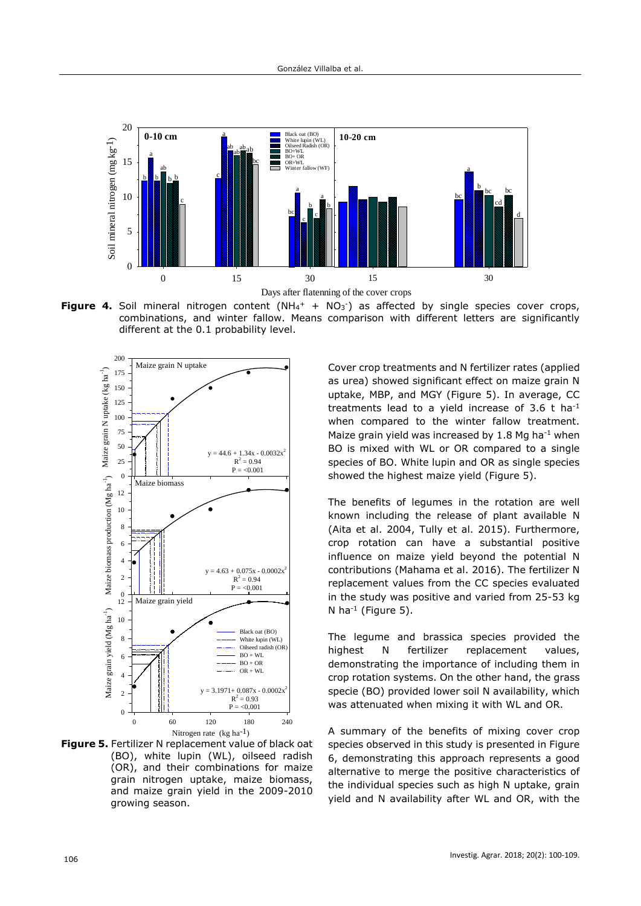

**Figure 4.** Soil mineral nitrogen content (NH<sub>4</sub><sup>+</sup> + NO<sub>3</sub><sup>-</sup>) as affected by single species cover crops, combinations, and winter fallow. Means comparison with different letters are significantly different at the 0.1 probability level.





Cover crop treatments and N fertilizer rates (applied as urea) showed significant effect on maize grain N uptake, MBP, and MGY (Figure 5). In average, CC treatments lead to a yield increase of  $3.6$  t ha<sup>-1</sup> when compared to the winter fallow treatment. Maize grain yield was increased by  $1.8$  Mg ha<sup>-1</sup> when BO is mixed with WL or OR compared to a single species of BO. White lupin and OR as single species showed the highest maize yield (Figure 5).

The benefits of legumes in the rotation are well known including the release of plant available N (Aita et al. 2004, Tully et al. 2015). Furthermore, crop rotation can have a substantial positive influence on maize yield beyond the potential N contributions (Mahama et al. 2016). The fertilizer N replacement values from the CC species evaluated in the study was positive and varied from 25-53 kg N ha $^{-1}$  (Figure 5).

The legume and brassica species provided the highest N fertilizer replacement values, demonstrating the importance of including them in crop rotation systems. On the other hand, the grass specie (BO) provided lower soil N availability, which was attenuated when mixing it with WL and OR.

A summary of the benefits of mixing cover crop species observed in this study is presented in Figure 6, demonstrating this approach represents a good alternative to merge the positive characteristics of the individual species such as high N uptake, grain yield and N availability after WL and OR, with the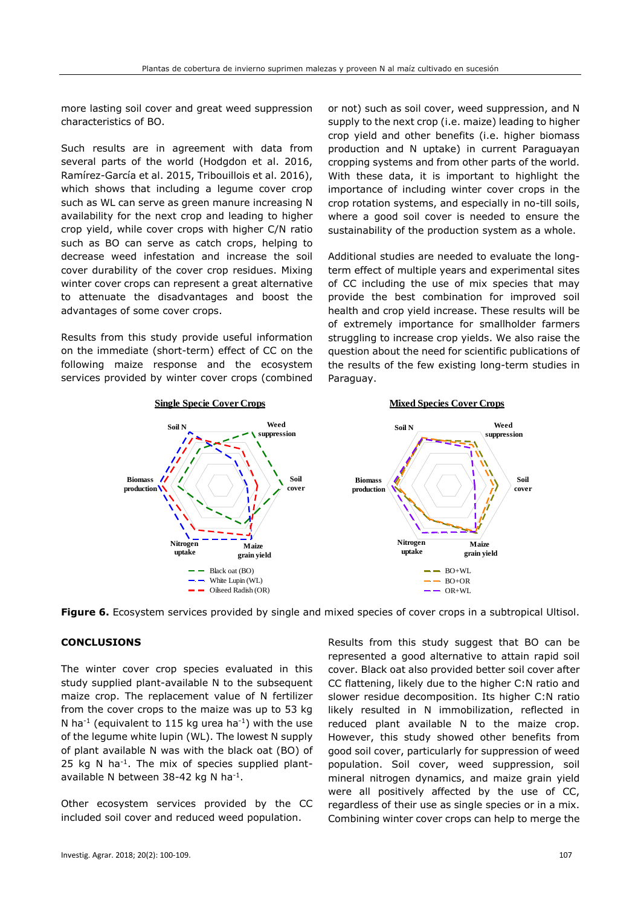more lasting soil cover and great weed suppression characteristics of BO.

Such results are in agreement with data from several parts of the world (Hodgdon et al. 2016, Ramírez-García et al. 2015, Tribouillois et al. 2016), which shows that including a legume cover crop such as WL can serve as green manure increasing N availability for the next crop and leading to higher crop yield, while cover crops with higher C/N ratio such as BO can serve as catch crops, helping to decrease weed infestation and increase the soil cover durability of the cover crop residues. Mixing winter cover crops can represent a great alternative to attenuate the disadvantages and boost the advantages of some cover crops.

Results from this study provide useful information on the immediate (short-term) effect of CC on the following maize response and the ecosystem services provided by winter cover crops (combined or not) such as soil cover, weed suppression, and N supply to the next crop (i.e. maize) leading to higher crop yield and other benefits (i.e. higher biomass production and N uptake) in current Paraguayan cropping systems and from other parts of the world. With these data, it is important to highlight the importance of including winter cover crops in the crop rotation systems, and especially in no-till soils, where a good soil cover is needed to ensure the sustainability of the production system as a whole.

Additional studies are needed to evaluate the longterm effect of multiple years and experimental sites of CC including the use of mix species that may provide the best combination for improved soil health and crop yield increase. These results will be of extremely importance for smallholder farmers struggling to increase crop yields. We also raise the question about the need for scientific publications of the results of the few existing long-term studies in Paraguay.



**Figure 6.** Ecosystem services provided by single and mixed species of cover crops in a subtropical Ultisol.

# **CONCLUSIONS**

The winter cover crop species evaluated in this study supplied plant-available N to the subsequent maize crop. The replacement value of N fertilizer from the cover crops to the maize was up to 53 kg N ha<sup>-1</sup> (equivalent to 115 kg urea ha<sup>-1</sup>) with the use of the legume white lupin (WL). The lowest N supply of plant available N was with the black oat (BO) of 25 kg N ha<sup>-1</sup>. The mix of species supplied plantavailable N between 38-42 kg N ha<sup>-1</sup>.

Other ecosystem services provided by the CC included soil cover and reduced weed population.

Results from this study suggest that BO can be represented a good alternative to attain rapid soil cover. Black oat also provided better soil cover after CC flattening, likely due to the higher C:N ratio and slower residue decomposition. Its higher C:N ratio likely resulted in N immobilization, reflected in reduced plant available N to the maize crop. However, this study showed other benefits from good soil cover, particularly for suppression of weed population. Soil cover, weed suppression, soil mineral nitrogen dynamics, and maize grain yield were all positively affected by the use of CC, regardless of their use as single species or in a mix. Combining winter cover crops can help to merge the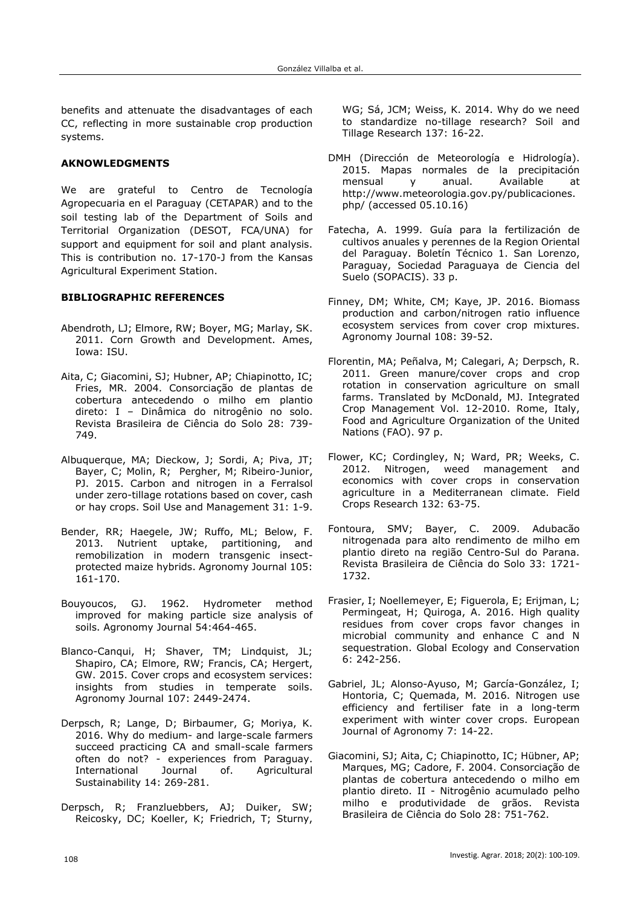benefits and attenuate the disadvantages of each CC, reflecting in more sustainable crop production systems.

# **AKNOWLEDGMENTS**

We are grateful to Centro de Tecnología Agropecuaria en el Paraguay (CETAPAR) and to the soil testing lab of the Department of Soils and Territorial Organization (DESOT, FCA/UNA) for support and equipment for soil and plant analysis. This is contribution no. 17-170-J from the Kansas Agricultural Experiment Station.

# **BIBLIOGRAPHIC REFERENCES**

- Abendroth, LJ; Elmore, RW; Boyer, MG; Marlay, SK. 2011. Corn Growth and Development. Ames, Iowa: ISU.
- Aita, C; Giacomini, SJ; Hubner, AP; Chiapinotto, IC; Fries, MR. 2004. Consorciação de plantas de cobertura antecedendo o milho em plantio direto: I – Dinâmica do nitrogênio no solo. Revista Brasileira de Ciência do Solo 28: 739- 749.
- Albuquerque, MA; Dieckow, J; Sordi, A; Piva, JT; Bayer, C; Molin, R; Pergher, M; Ribeiro-Junior, PJ. 2015. Carbon and nitrogen in a Ferralsol under zero-tillage rotations based on cover, cash or hay crops. Soil Use and Management 31: 1-9.
- Bender, RR; Haegele, JW; Ruffo, ML; Below, F. 2013. Nutrient uptake, partitioning, and remobilization in modern transgenic insectprotected maize hybrids. Agronomy Journal 105: 161-170.
- Bouyoucos, GJ. 1962. Hydrometer method improved for making particle size analysis of soils. Agronomy Journal 54:464-465.
- Blanco-Canqui, H; Shaver, TM; Lindquist, JL; Shapiro, CA; Elmore, RW; Francis, CA; Hergert, GW. 2015. Cover crops and ecosystem services: insights from studies in temperate soils. Agronomy Journal 107: 2449-2474.
- Derpsch, R; Lange, D; Birbaumer, G; Moriya, K. 2016. Why do medium- and large-scale farmers succeed practicing CA and small-scale farmers often do not? - experiences from Paraguay. International Journal of. Agricultural Sustainability 14: 269-281.
- Derpsch, R; Franzluebbers, AJ; Duiker, SW; Reicosky, DC; Koeller, K; Friedrich, T; Sturny,

WG; Sá, JCM; Weiss, K. 2014. Why do we need to standardize no-tillage research? Soil and Tillage Research 137: 16-22.

- DMH (Dirección de Meteorología e Hidrología). 2015. Mapas normales de la precipitación mensual y anual. Available at http://www.meteorologia.gov.py/publicaciones. php/ (accessed 05.10.16)
- Fatecha, A. 1999. Guía para la fertilización de cultivos anuales y perennes de la Region Oriental del Paraguay. Boletín Técnico 1. San Lorenzo, Paraguay, Sociedad Paraguaya de Ciencia del Suelo (SOPACIS). 33 p.
- Finney, DM; White, CM; Kaye, JP. 2016. Biomass production and carbon/nitrogen ratio influence ecosystem services from cover crop mixtures. Agronomy Journal 108: 39-52.
- Florentin, MA; Peñalva, M; Calegari, A; Derpsch, R. 2011. Green manure/cover crops and crop rotation in conservation agriculture on small farms. Translated by McDonald, MJ. Integrated Crop Management Vol. 12-2010. Rome, Italy, Food and Agriculture Organization of the United Nations (FAO). 97 p.
- Flower, KC; Cordingley, N; Ward, PR; Weeks, C. 2012. Nitrogen, weed management and economics with cover crops in conservation agriculture in a Mediterranean climate. Field Crops Research 132: 63-75.
- Fontoura, SMV; Bayer, C. 2009. Adubacão nitrogenada para alto rendimento de milho em plantio direto na região Centro-Sul do Parana. Revista Brasileira de Ciência do Solo 33: 1721- 1732.
- Frasier, I; Noellemeyer, E; Figuerola, E; Erijman, L; Permingeat, H; Quiroga, A. 2016. High quality residues from cover crops favor changes in microbial community and enhance C and N sequestration. Global Ecology and Conservation 6: 242-256.
- Gabriel, JL; Alonso-Ayuso, M; García-González, I; Hontoria, C; Quemada, M. 2016. Nitrogen use efficiency and fertiliser fate in a long-term experiment with winter cover crops. European Journal of Agronomy 7: 14-22.
- Giacomini, SJ; Aita, C; Chiapinotto, IC; Hübner, AP; Marques, MG; Cadore, F. 2004. Consorciação de plantas de cobertura antecedendo o milho em plantio direto. II - Nitrogênio acumulado pelho milho e produtividade de grãos. Revista Brasileira de Ciência do Solo 28: 751-762.